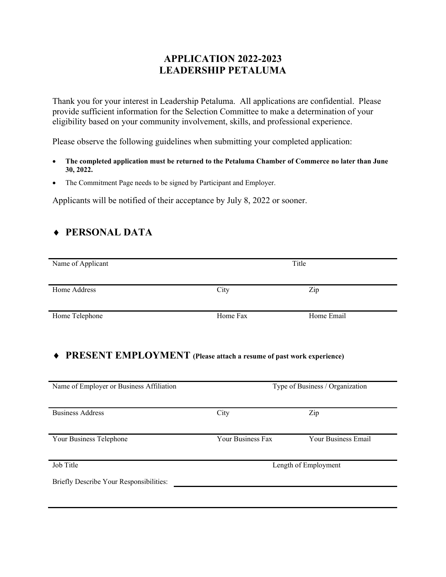### **APPLICATION 2022-2023 LEADERSHIP PETALUMA**

Thank you for your interest in Leadership Petaluma. All applications are confidential. Please provide sufficient information for the Selection Committee to make a determination of your eligibility based on your community involvement, skills, and professional experience.

Please observe the following guidelines when submitting your completed application:

- **The completed application must be returned to the Petaluma Chamber of Commerce no later than June 30, 2022.**
- The Commitment Page needs to be signed by Participant and Employer.

Applicants will be notified of their acceptance by July 8, 2022 or sooner.

### ♦ **PERSONAL DATA**

| Name of Applicant | Title    |            |
|-------------------|----------|------------|
| Home Address      | City     | Zip        |
| Home Telephone    | Home Fax | Home Email |

#### ♦ **PRESENT EMPLOYMENT (Please attach a resume of past work experience)**

| Name of Employer or Business Affiliation | Type of Business / Organization |                     |
|------------------------------------------|---------------------------------|---------------------|
| <b>Business Address</b>                  | City                            | Zip                 |
| Your Business Telephone                  | <b>Your Business Fax</b>        | Your Business Email |
| Job Title                                | Length of Employment            |                     |
| Briefly Describe Your Responsibilities:  |                                 |                     |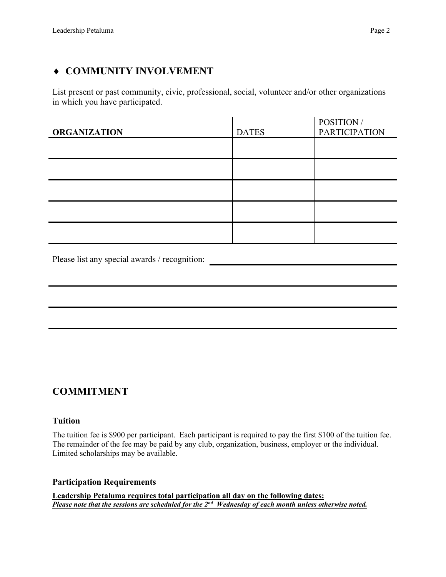## ♦ **COMMUNITY INVOLVEMENT**

List present or past community, civic, professional, social, volunteer and/or other organizations in which you have participated.

| <b>ORGANIZATION</b> | <b>DATES</b> | POSITION /<br><b>PARTICIPATION</b> |
|---------------------|--------------|------------------------------------|
|                     |              |                                    |
|                     |              |                                    |
|                     |              |                                    |
|                     |              |                                    |
|                     |              |                                    |
|                     |              |                                    |

Please list any special awards / recognition:

# **COMMITMENT**

#### **Tuition**

The tuition fee is \$900 per participant. Each participant is required to pay the first \$100 of the tuition fee. The remainder of the fee may be paid by any club, organization, business, employer or the individual. Limited scholarships may be available.

#### **Participation Requirements**

**Leadership Petaluma requires total participation all day on the following dates:** *Please note that the sessions are scheduled for the 2nd Wednesday of each month unless otherwise noted.*